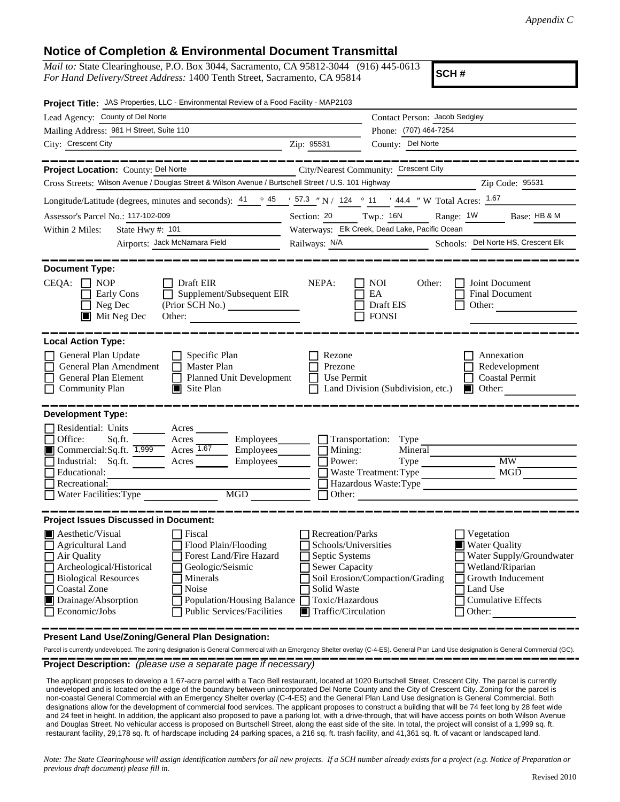## **Notice of Completion & Environmental Document Transmittal**

*Mail to:* State Clearinghouse, P.O. Box 3044, Sacramento, CA 95812-3044 (916) 445-0613 *For Hand Delivery/Street Address:* 1400 Tenth Street, Sacramento, CA 95814

**SCH #**

| Contact Person: Jacob Sedgley                                                                                                                                                                                                                                                                                                                 |
|-----------------------------------------------------------------------------------------------------------------------------------------------------------------------------------------------------------------------------------------------------------------------------------------------------------------------------------------------|
|                                                                                                                                                                                                                                                                                                                                               |
| Phone: (707) 464-7254                                                                                                                                                                                                                                                                                                                         |
| County: Del Norte                                                                                                                                                                                                                                                                                                                             |
|                                                                                                                                                                                                                                                                                                                                               |
| City/Nearest Community: Crescent City                                                                                                                                                                                                                                                                                                         |
| Cross Streets: Wilson Avenue / Douglas Street & Wilson Avenue / Burtschell Street / U.S. 101 Highway<br>Zip Code: 95531                                                                                                                                                                                                                       |
| Longitude/Latitude (degrees, minutes and seconds): $\frac{41}{100}$ $\frac{45}{100}$ $\frac{157.3}{100}$ $\frac{1}{100}$ $\frac{124}{100}$ $\frac{144.4}{100}$ $\frac{144.4}{100}$ W Total Acres: $\frac{1.67}{1.67}$                                                                                                                         |
| Range: $1W$<br>Section: 20 Twp.: 16N<br>Base: HB & M                                                                                                                                                                                                                                                                                          |
| Waterways: Elk Creek, Dead Lake, Pacific Ocean                                                                                                                                                                                                                                                                                                |
| Schools: Del Norte HS, Crescent Elk<br>Railways: N/A                                                                                                                                                                                                                                                                                          |
| NOI<br>Other:<br>Joint Document                                                                                                                                                                                                                                                                                                               |
| EA<br><b>Final Document</b><br>Draft EIS<br>Other:                                                                                                                                                                                                                                                                                            |
| <b>FONSI</b>                                                                                                                                                                                                                                                                                                                                  |
| Annexation<br>Redevelopment<br>Use Permit<br><b>Coastal Permit</b><br>Land Division (Subdivision, etc.)<br>$\blacksquare$ Other:<br>Transportation: Type<br>Mineral<br>$\overline{\text{MW}}$<br>Type<br>MGD<br>Waste Treatment: Type<br>Hazardous Waste:Type                                                                                 |
| Recreation/Parks<br>Vegetation<br>Schools/Universities<br><b>Water Quality</b><br>Septic Systems<br>Water Supply/Groundwater<br><b>Sewer Capacity</b><br>Wetland/Riparian<br>Growth Inducement<br>Soil Erosion/Compaction/Grading<br>Land Use<br>Toxic/Hazardous<br><b>Cumulative Effects</b><br>$\blacksquare$ Traffic/Circulation<br>Other: |
|                                                                                                                                                                                                                                                                                                                                               |

**Present Land Use/Zoning/General Plan Designation:**

Parcel is currently undeveloped. The zoning designation is General Commercial with an Emergency Shelter overlay (C-4-ES). General Plan Land Use designation is General Commercial (GC).

**Project Description:** *(please use a separate page if necessary)*

 The applicant proposes to develop a 1.67-acre parcel with a Taco Bell restaurant, located at 1020 Burtschell Street, Crescent City. The parcel is currently undeveloped and is located on the edge of the boundary between unincorporated Del Norte County and the City of Crescent City. Zoning for the parcel is non-coastal General Commercial with an Emergency Shelter overlay (C-4-ES) and the General Plan Land Use designation is General Commercial. Both designations allow for the development of commercial food services. The applicant proposes to construct a building that will be 74 feet long by 28 feet wide and 24 feet in height. In addition, the applicant also proposed to pave a parking lot, with a drive-through, that will have access points on both Wilson Avenue and Douglas Street. No vehicular access is proposed on Burtschell Street, along the east side of the site. In total, the project will consist of a 1,999 sq. ft. restaurant facility, 29,178 sq. ft. of hardscape including 24 parking spaces, a 216 sq. ft. trash facility, and 41,361 sq. ft. of vacant or landscaped land.

*Note: The State Clearinghouse will assign identification numbers for all new projects. If a SCH number already exists for a project (e.g. Notice of Preparation or previous draft document) please fill in.*